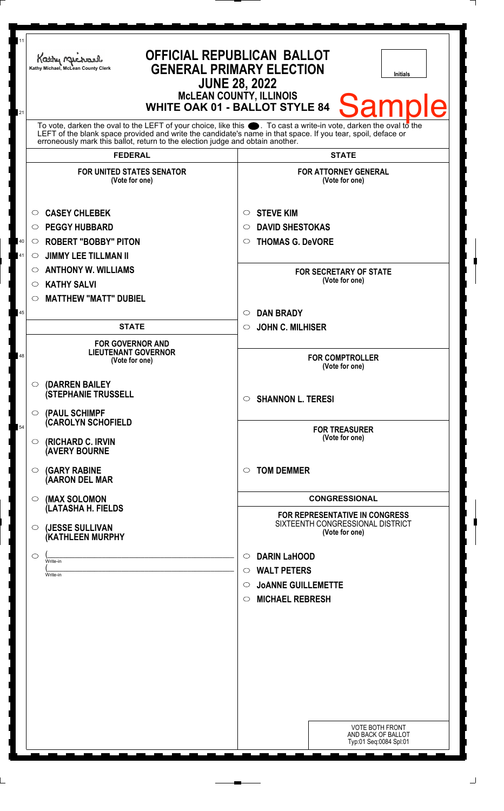| To vote, darken the oval to the LEFT of your choice, like this $\bullet$ . To cast a write-in vote, darken the oval to the<br>LEFT of the blank space provided and write the candidate's name in that space. If you tear, spoil, deface or<br>erroneously mark this ballot, return to the election judge and obtain another.<br><b>FEDERAL</b><br><b>STATE</b><br><b>FOR UNITED STATES SENATOR</b><br><b>FOR ATTORNEY GENERAL</b><br>(Vote for one)<br>(Vote for one)<br><b>CASEY CHLEBEK</b><br><b>STEVE KIM</b><br>O<br>$\circ$<br><b>PEGGY HUBBARD</b><br><b>DAVID SHESTOKAS</b><br>$\circ$<br>◯<br><b>ROBERT "BOBBY" PITON</b><br><b>THOMAS G. DeVORE</b><br>$40\,$<br>$\circ$<br>$\circ$<br>41<br><b>JIMMY LEE TILLMAN II</b><br>$\circ$<br><b>ANTHONY W. WILLIAMS</b><br>$\circ$<br><b>FOR SECRETARY OF STATE</b><br>(Vote for one)<br><b>KATHY SALVI</b><br>$\circ$<br><b>MATTHEW "MATT" DUBIEL</b><br>◯<br><b>DAN BRADY</b><br>$\circ$<br>45<br><b>STATE</b><br><b>JOHN C. MILHISER</b><br>$\circ$<br><b>FOR GOVERNOR AND</b><br><b>LIEUTENANT GOVERNOR</b><br>48<br><b>FOR COMPTROLLER</b><br>(Vote for one)<br>(Vote for one)<br>(DARREN BAILEY<br>$\circ$<br><b>(STEPHANIE TRUSSELL</b><br><b>SHANNON L. TERESI</b><br>$\circ$<br>(PAUL SCHIMPF<br>$\circ$<br>(CAROLYN SCHOFIELD<br>54<br><b>FOR TREASURER</b><br>(Vote for one)<br><b>(RICHARD C. IRVIN</b><br>$\circ$<br><b>(AVERY BOURNE</b><br><b>TOM DEMMER</b><br><b>(GARY RABINE</b><br>◯<br>◯<br>(AARON DEL MAR<br><b>CONGRESSIONAL</b><br>(MAX SOLOMON<br>$\circ$<br>(LATASHA H. FIELDS<br><b>FOR REPRESENTATIVE IN CONGRESS</b><br>SIXTEENTH CONGRESSIONAL DISTRICT<br>(JESSE SULLIVAN<br>O<br>(Vote for one)<br>(KATHLEEN MURPHY<br><b>DARIN LaHOOD</b><br>◯<br>$\circ$<br>Write-in<br><b>WALT PETERS</b><br>$\circ$<br>Write-in<br><b>JOANNE GUILLEMETTE</b><br>$\circ$<br><b>MICHAEL REBRESH</b><br>$\circ$<br><b>VOTE BOTH FRONT</b> | 11<br>21 | Kathy Michael<br>Kathy Michael, McLean County Clerk | <b>OFFICIAL REPUBLICAN BALLOT</b><br><b>GENERAL PRIMARY ELECTION</b><br>Initials<br><b>JUNE 28, 2022</b><br><b>McLEAN COUNTY, ILLINOIS</b><br><b>Sample</b><br><b>WHITE OAK 01 - BALLOT STYLE 84</b> |
|---------------------------------------------------------------------------------------------------------------------------------------------------------------------------------------------------------------------------------------------------------------------------------------------------------------------------------------------------------------------------------------------------------------------------------------------------------------------------------------------------------------------------------------------------------------------------------------------------------------------------------------------------------------------------------------------------------------------------------------------------------------------------------------------------------------------------------------------------------------------------------------------------------------------------------------------------------------------------------------------------------------------------------------------------------------------------------------------------------------------------------------------------------------------------------------------------------------------------------------------------------------------------------------------------------------------------------------------------------------------------------------------------------------------------------------------------------------------------------------------------------------------------------------------------------------------------------------------------------------------------------------------------------------------------------------------------------------------------------------------------------------------------------------------------------------------------------------------------------------------------------------------------------------|----------|-----------------------------------------------------|------------------------------------------------------------------------------------------------------------------------------------------------------------------------------------------------------|
|                                                                                                                                                                                                                                                                                                                                                                                                                                                                                                                                                                                                                                                                                                                                                                                                                                                                                                                                                                                                                                                                                                                                                                                                                                                                                                                                                                                                                                                                                                                                                                                                                                                                                                                                                                                                                                                                                                               |          |                                                     |                                                                                                                                                                                                      |
|                                                                                                                                                                                                                                                                                                                                                                                                                                                                                                                                                                                                                                                                                                                                                                                                                                                                                                                                                                                                                                                                                                                                                                                                                                                                                                                                                                                                                                                                                                                                                                                                                                                                                                                                                                                                                                                                                                               |          |                                                     |                                                                                                                                                                                                      |
|                                                                                                                                                                                                                                                                                                                                                                                                                                                                                                                                                                                                                                                                                                                                                                                                                                                                                                                                                                                                                                                                                                                                                                                                                                                                                                                                                                                                                                                                                                                                                                                                                                                                                                                                                                                                                                                                                                               |          |                                                     |                                                                                                                                                                                                      |
|                                                                                                                                                                                                                                                                                                                                                                                                                                                                                                                                                                                                                                                                                                                                                                                                                                                                                                                                                                                                                                                                                                                                                                                                                                                                                                                                                                                                                                                                                                                                                                                                                                                                                                                                                                                                                                                                                                               |          |                                                     |                                                                                                                                                                                                      |
|                                                                                                                                                                                                                                                                                                                                                                                                                                                                                                                                                                                                                                                                                                                                                                                                                                                                                                                                                                                                                                                                                                                                                                                                                                                                                                                                                                                                                                                                                                                                                                                                                                                                                                                                                                                                                                                                                                               |          |                                                     |                                                                                                                                                                                                      |
|                                                                                                                                                                                                                                                                                                                                                                                                                                                                                                                                                                                                                                                                                                                                                                                                                                                                                                                                                                                                                                                                                                                                                                                                                                                                                                                                                                                                                                                                                                                                                                                                                                                                                                                                                                                                                                                                                                               |          |                                                     |                                                                                                                                                                                                      |
|                                                                                                                                                                                                                                                                                                                                                                                                                                                                                                                                                                                                                                                                                                                                                                                                                                                                                                                                                                                                                                                                                                                                                                                                                                                                                                                                                                                                                                                                                                                                                                                                                                                                                                                                                                                                                                                                                                               |          |                                                     |                                                                                                                                                                                                      |
|                                                                                                                                                                                                                                                                                                                                                                                                                                                                                                                                                                                                                                                                                                                                                                                                                                                                                                                                                                                                                                                                                                                                                                                                                                                                                                                                                                                                                                                                                                                                                                                                                                                                                                                                                                                                                                                                                                               |          |                                                     |                                                                                                                                                                                                      |
|                                                                                                                                                                                                                                                                                                                                                                                                                                                                                                                                                                                                                                                                                                                                                                                                                                                                                                                                                                                                                                                                                                                                                                                                                                                                                                                                                                                                                                                                                                                                                                                                                                                                                                                                                                                                                                                                                                               |          |                                                     |                                                                                                                                                                                                      |
|                                                                                                                                                                                                                                                                                                                                                                                                                                                                                                                                                                                                                                                                                                                                                                                                                                                                                                                                                                                                                                                                                                                                                                                                                                                                                                                                                                                                                                                                                                                                                                                                                                                                                                                                                                                                                                                                                                               |          |                                                     |                                                                                                                                                                                                      |
|                                                                                                                                                                                                                                                                                                                                                                                                                                                                                                                                                                                                                                                                                                                                                                                                                                                                                                                                                                                                                                                                                                                                                                                                                                                                                                                                                                                                                                                                                                                                                                                                                                                                                                                                                                                                                                                                                                               |          |                                                     |                                                                                                                                                                                                      |
|                                                                                                                                                                                                                                                                                                                                                                                                                                                                                                                                                                                                                                                                                                                                                                                                                                                                                                                                                                                                                                                                                                                                                                                                                                                                                                                                                                                                                                                                                                                                                                                                                                                                                                                                                                                                                                                                                                               |          |                                                     |                                                                                                                                                                                                      |
|                                                                                                                                                                                                                                                                                                                                                                                                                                                                                                                                                                                                                                                                                                                                                                                                                                                                                                                                                                                                                                                                                                                                                                                                                                                                                                                                                                                                                                                                                                                                                                                                                                                                                                                                                                                                                                                                                                               |          |                                                     |                                                                                                                                                                                                      |
|                                                                                                                                                                                                                                                                                                                                                                                                                                                                                                                                                                                                                                                                                                                                                                                                                                                                                                                                                                                                                                                                                                                                                                                                                                                                                                                                                                                                                                                                                                                                                                                                                                                                                                                                                                                                                                                                                                               |          |                                                     |                                                                                                                                                                                                      |
|                                                                                                                                                                                                                                                                                                                                                                                                                                                                                                                                                                                                                                                                                                                                                                                                                                                                                                                                                                                                                                                                                                                                                                                                                                                                                                                                                                                                                                                                                                                                                                                                                                                                                                                                                                                                                                                                                                               |          |                                                     |                                                                                                                                                                                                      |
|                                                                                                                                                                                                                                                                                                                                                                                                                                                                                                                                                                                                                                                                                                                                                                                                                                                                                                                                                                                                                                                                                                                                                                                                                                                                                                                                                                                                                                                                                                                                                                                                                                                                                                                                                                                                                                                                                                               |          |                                                     |                                                                                                                                                                                                      |
|                                                                                                                                                                                                                                                                                                                                                                                                                                                                                                                                                                                                                                                                                                                                                                                                                                                                                                                                                                                                                                                                                                                                                                                                                                                                                                                                                                                                                                                                                                                                                                                                                                                                                                                                                                                                                                                                                                               |          |                                                     |                                                                                                                                                                                                      |
|                                                                                                                                                                                                                                                                                                                                                                                                                                                                                                                                                                                                                                                                                                                                                                                                                                                                                                                                                                                                                                                                                                                                                                                                                                                                                                                                                                                                                                                                                                                                                                                                                                                                                                                                                                                                                                                                                                               |          |                                                     |                                                                                                                                                                                                      |
|                                                                                                                                                                                                                                                                                                                                                                                                                                                                                                                                                                                                                                                                                                                                                                                                                                                                                                                                                                                                                                                                                                                                                                                                                                                                                                                                                                                                                                                                                                                                                                                                                                                                                                                                                                                                                                                                                                               |          |                                                     |                                                                                                                                                                                                      |
|                                                                                                                                                                                                                                                                                                                                                                                                                                                                                                                                                                                                                                                                                                                                                                                                                                                                                                                                                                                                                                                                                                                                                                                                                                                                                                                                                                                                                                                                                                                                                                                                                                                                                                                                                                                                                                                                                                               |          |                                                     |                                                                                                                                                                                                      |
|                                                                                                                                                                                                                                                                                                                                                                                                                                                                                                                                                                                                                                                                                                                                                                                                                                                                                                                                                                                                                                                                                                                                                                                                                                                                                                                                                                                                                                                                                                                                                                                                                                                                                                                                                                                                                                                                                                               |          |                                                     |                                                                                                                                                                                                      |
|                                                                                                                                                                                                                                                                                                                                                                                                                                                                                                                                                                                                                                                                                                                                                                                                                                                                                                                                                                                                                                                                                                                                                                                                                                                                                                                                                                                                                                                                                                                                                                                                                                                                                                                                                                                                                                                                                                               |          |                                                     |                                                                                                                                                                                                      |
|                                                                                                                                                                                                                                                                                                                                                                                                                                                                                                                                                                                                                                                                                                                                                                                                                                                                                                                                                                                                                                                                                                                                                                                                                                                                                                                                                                                                                                                                                                                                                                                                                                                                                                                                                                                                                                                                                                               |          |                                                     |                                                                                                                                                                                                      |
|                                                                                                                                                                                                                                                                                                                                                                                                                                                                                                                                                                                                                                                                                                                                                                                                                                                                                                                                                                                                                                                                                                                                                                                                                                                                                                                                                                                                                                                                                                                                                                                                                                                                                                                                                                                                                                                                                                               |          |                                                     |                                                                                                                                                                                                      |
| Typ:01 Seq:0084 Spl:01                                                                                                                                                                                                                                                                                                                                                                                                                                                                                                                                                                                                                                                                                                                                                                                                                                                                                                                                                                                                                                                                                                                                                                                                                                                                                                                                                                                                                                                                                                                                                                                                                                                                                                                                                                                                                                                                                        |          |                                                     | AND BACK OF BALLOT                                                                                                                                                                                   |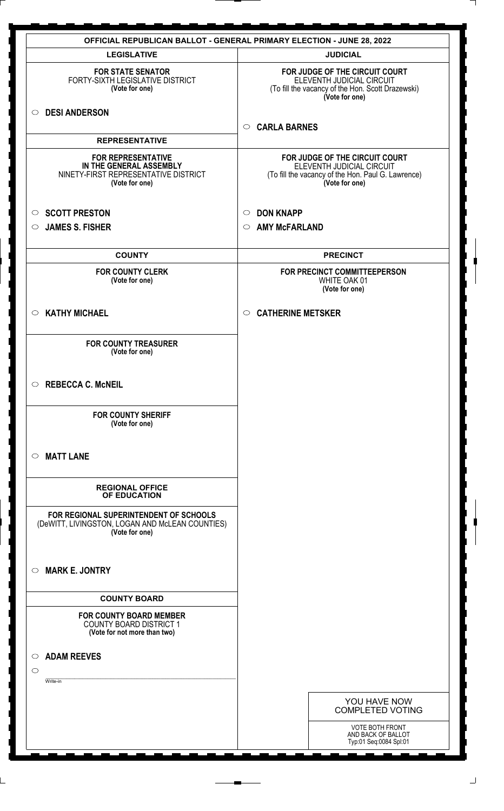| OFFICIAL REPUBLICAN BALLOT - GENERAL PRIMARY ELECTION - JUNE 28, 2022                                                   |                                                                                                                                     |  |
|-------------------------------------------------------------------------------------------------------------------------|-------------------------------------------------------------------------------------------------------------------------------------|--|
| <b>LEGISLATIVE</b>                                                                                                      | <b>JUDICIAL</b>                                                                                                                     |  |
| <b>FOR STATE SENATOR</b><br>FORTY-SIXTH LEGISLATIVE DISTRICT<br>(Vote for one)                                          | FOR JUDGE OF THE CIRCUIT COURT<br>ELEVENTH JUDICIAL CIRCUIT<br>(To fill the vacancy of the Hon. Scott Drazewski)<br>(Vote for one)  |  |
| O DESI ANDERSON                                                                                                         | <b>CARLA BARNES</b><br>$\circ$                                                                                                      |  |
| <b>REPRESENTATIVE</b>                                                                                                   |                                                                                                                                     |  |
| <b>FOR REPRESENTATIVE</b><br>IN THE GENERAL ASSEMBLY<br>NINETY-FIRST REPRESENTATIVE DISTRICT<br>(Vote for one)          | FOR JUDGE OF THE CIRCUIT COURT<br>ELEVENTH JUDICIAL CIRCUIT<br>(To fill the vacancy of the Hon. Paul G. Lawrence)<br>(Vote for one) |  |
| <b>SCOTT PRESTON</b><br>$\circ$                                                                                         | <b>DON KNAPP</b><br>$\circ$                                                                                                         |  |
| <b>JAMES S. FISHER</b><br>$\circ$                                                                                       | <b>AMY McFARLAND</b><br>$\circ$                                                                                                     |  |
| <b>COUNTY</b>                                                                                                           | <b>PRECINCT</b>                                                                                                                     |  |
| <b>FOR COUNTY CLERK</b><br>(Vote for one)                                                                               | FOR PRECINCT COMMITTEEPERSON<br>WHITE OAK 01<br>(Vote for one)                                                                      |  |
| $\circ$ KATHY MICHAEL                                                                                                   | <b>CATHERINE METSKER</b><br>$\circ$                                                                                                 |  |
| <b>FOR COUNTY TREASURER</b><br>(Vote for one)                                                                           |                                                                                                                                     |  |
| $\circ$ REBECCA C. McNEIL                                                                                               |                                                                                                                                     |  |
| <b>FOR COUNTY SHERIFF</b><br>(Vote for one)                                                                             |                                                                                                                                     |  |
| <b>MATT LANE</b><br>$\circ$                                                                                             |                                                                                                                                     |  |
| <b>REGIONAL OFFICE</b><br>OF EDUCATION                                                                                  |                                                                                                                                     |  |
| FOR REGIONAL SUPERINTENDENT OF SCHOOLS<br>(DeWITT, LIVINGSTON, LOGAN AND McLEAN COUNTIES)<br>(Vote for one)             |                                                                                                                                     |  |
| <b>MARK E. JONTRY</b><br>$\circ$                                                                                        |                                                                                                                                     |  |
| <b>COUNTY BOARD</b><br><b>FOR COUNTY BOARD MEMBER</b><br><b>COUNTY BOARD DISTRICT 1</b><br>(Vote for not more than two) |                                                                                                                                     |  |
| <b>ADAM REEVES</b><br>$\circ$<br>$\circ$                                                                                |                                                                                                                                     |  |
| Write-in                                                                                                                |                                                                                                                                     |  |
|                                                                                                                         | YOU HAVE NOW<br><b>COMPLETED VOTING</b>                                                                                             |  |
|                                                                                                                         | <b>VOTE BOTH FRONT</b><br>AND BACK OF BALLOT<br>Typ:01 Seq:0084 Spl:01                                                              |  |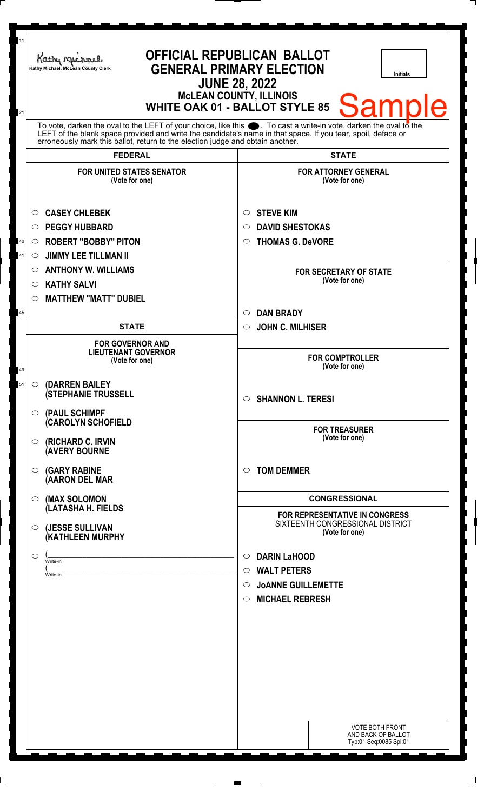| 11<br>21 | Kathy Michael<br>Kathy Michael, McLean County Clerk                                                                                                                                                                                                                                                                          | <b>OFFICIAL REPUBLICAN BALLOT</b><br><b>GENERAL PRIMARY ELECTION</b><br>Initials<br><b>JUNE 28, 2022</b><br><b>McLEAN COUNTY, ILLINOIS</b><br><b>Sample</b><br><b>WHITE OAK 01 - BALLOT STYLE 85</b> |
|----------|------------------------------------------------------------------------------------------------------------------------------------------------------------------------------------------------------------------------------------------------------------------------------------------------------------------------------|------------------------------------------------------------------------------------------------------------------------------------------------------------------------------------------------------|
|          | To vote, darken the oval to the LEFT of your choice, like this $\bullet$ . To cast a write-in vote, darken the oval to the<br>LEFT of the blank space provided and write the candidate's name in that space. If you tear, spoil, deface or<br>erroneously mark this ballot, return to the election judge and obtain another. |                                                                                                                                                                                                      |
|          | <b>FEDERAL</b>                                                                                                                                                                                                                                                                                                               | <b>STATE</b>                                                                                                                                                                                         |
|          | <b>FOR UNITED STATES SENATOR</b><br>(Vote for one)                                                                                                                                                                                                                                                                           | <b>FOR ATTORNEY GENERAL</b><br>(Vote for one)                                                                                                                                                        |
| 40<br>41 | <b>CASEY CHLEBEK</b><br>$\circ$<br><b>PEGGY HUBBARD</b><br>$\circ$<br><b>ROBERT "BOBBY" PITON</b><br>O<br><b>JIMMY LEE TILLMAN II</b><br>O<br><b>ANTHONY W. WILLIAMS</b><br>O                                                                                                                                                | <b>STEVE KIM</b><br>$\circ$<br><b>DAVID SHESTOKAS</b><br>O<br><b>THOMAS G. DeVORE</b><br>$\circ$<br><b>FOR SECRETARY OF STATE</b>                                                                    |
|          | <b>KATHY SALVI</b><br>$\circ$<br><b>MATTHEW "MATT" DUBIEL</b><br>$\circ$                                                                                                                                                                                                                                                     | (Vote for one)<br><b>DAN BRADY</b><br>$\circ$                                                                                                                                                        |
| 45       | <b>STATE</b>                                                                                                                                                                                                                                                                                                                 | <b>JOHN C. MILHISER</b><br>$\circ$                                                                                                                                                                   |
| 49       | <b>FOR GOVERNOR AND</b><br><b>LIEUTENANT GOVERNOR</b><br>(Vote for one)                                                                                                                                                                                                                                                      | <b>FOR COMPTROLLER</b><br>(Vote for one)                                                                                                                                                             |
| 51       | (DARREN BAILEY<br>$\circ$<br><b>(STEPHANIE TRUSSELL</b><br>(PAUL SCHIMPF<br>$\circ$                                                                                                                                                                                                                                          | <b>SHANNON L. TERESI</b><br>$\circ$                                                                                                                                                                  |
|          | <b>(CAROLYN SCHOFIELD</b><br>(RICHARD C. IRVIN<br>$\circ$<br><b>(AVERY BOURNE</b>                                                                                                                                                                                                                                            | <b>FOR TREASURER</b><br>(Vote for one)                                                                                                                                                               |
|          | <b>(GARY RABINE</b><br>$\circ$<br>(AARON DEL MAR                                                                                                                                                                                                                                                                             | <b>TOM DEMMER</b><br>$\circ$                                                                                                                                                                         |
|          | (MAX SOLOMON<br>$\circ$                                                                                                                                                                                                                                                                                                      | <b>CONGRESSIONAL</b>                                                                                                                                                                                 |
|          | (LATASHA H. FIELDS<br>(JESSE SULLIVAN<br>$\circ$<br>(KATHLEEN MURPHY                                                                                                                                                                                                                                                         | <b>FOR REPRESENTATIVE IN CONGRESS</b><br>SIXTEENTH CONGRESSIONAL DISTRICT<br>(Vote for one)                                                                                                          |
|          | ◯<br>Write-in<br>Write-in                                                                                                                                                                                                                                                                                                    | <b>DARIN LaHOOD</b><br>$\circ$<br><b>WALT PETERS</b><br>$\circ$<br><b>JOANNE GUILLEMETTE</b><br>$\circ$<br><b>MICHAEL REBRESH</b><br>$\circ$                                                         |
|          |                                                                                                                                                                                                                                                                                                                              |                                                                                                                                                                                                      |
|          |                                                                                                                                                                                                                                                                                                                              | <b>VOTE BOTH FRONT</b><br>AND BACK OF BALLOT<br>Typ:01 Seq:0085 Spl:01                                                                                                                               |

 $\perp$